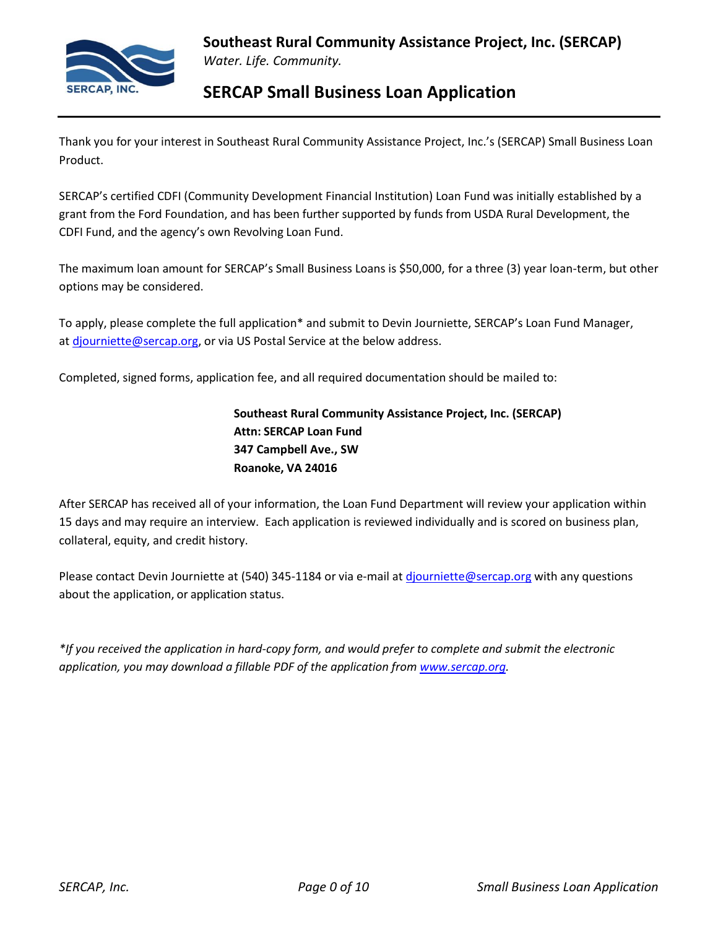

Thank you for your interest in Southeast Rural Community Assistance Project, Inc.'s (SERCAP) Small Business Loan Product.

SERCAP's certified CDFI (Community Development Financial Institution) Loan Fund was initially established by a grant from the Ford Foundation, and has been further supported by funds from USDA Rural Development, the CDFI Fund, and the agency's own Revolving Loan Fund.

The maximum loan amount for SERCAP's Small Business Loans is \$50,000, for a three (3) year loan-term, but other options may be considered.

To apply, please complete the full application\* and submit to Devin Journiette, SERCAP's Loan Fund Manager, at [djourniette@sercap.org,](mailto:djourniette@sercap.org) or via US Postal Service at the below address.

Completed, signed forms, application fee, and all required documentation should be mailed to:

**Southeast Rural Community Assistance Project, Inc. (SERCAP) Attn: SERCAP Loan Fund 347 Campbell Ave., SW Roanoke, VA 24016**

After SERCAP has received all of your information, the Loan Fund Department will review your application within 15 days and may require an interview. Each application is reviewed individually and is scored on business plan, collateral, equity, and credit history.

Please contact Devin Journiette at (540) 345-1184 or via e-mail at [djourniette@sercap.org](mailto:djourniette@sercap.org) with any questions about the application, or application status.

*\*If you received the application in hard-copy form, and would prefer to complete and submit the electronic application, you may download a fillable PDF of the application from [www.sercap.org.](http://www.sercap.org/)*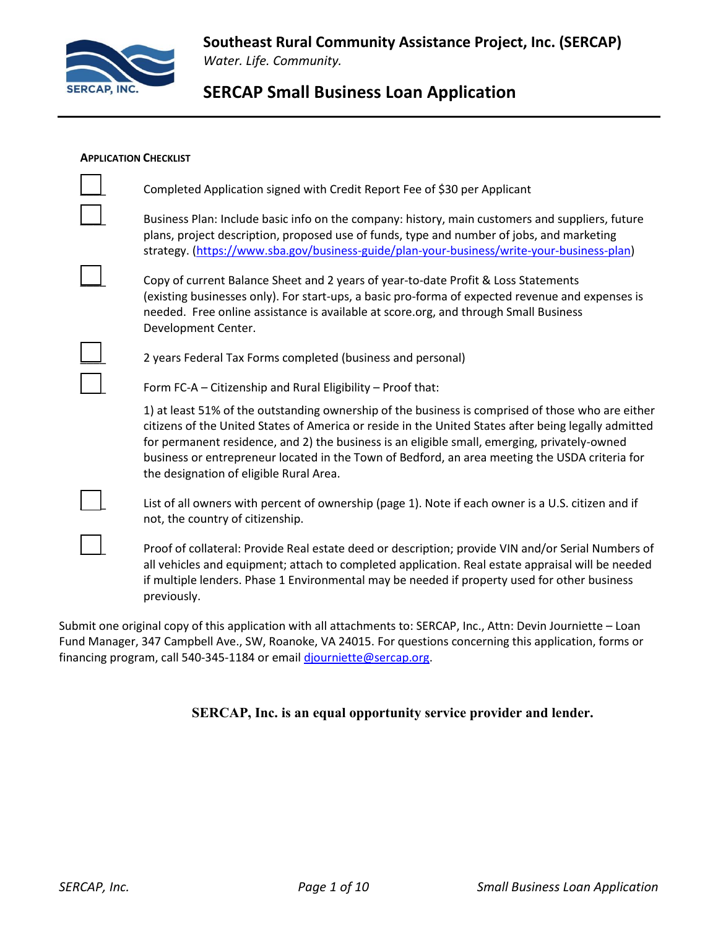

#### **APPLICATION CHECKLIST**

| Completed Application signed with Credit Report Fee of \$30 per Applicant                                                                                                                                                                                                                                                                                                                                                                              |
|--------------------------------------------------------------------------------------------------------------------------------------------------------------------------------------------------------------------------------------------------------------------------------------------------------------------------------------------------------------------------------------------------------------------------------------------------------|
| Business Plan: Include basic info on the company: history, main customers and suppliers, future<br>plans, project description, proposed use of funds, type and number of jobs, and marketing<br>strategy. (https://www.sba.gov/business-guide/plan-your-business/write-your-business-plan)                                                                                                                                                             |
| Copy of current Balance Sheet and 2 years of year-to-date Profit & Loss Statements<br>(existing businesses only). For start-ups, a basic pro-forma of expected revenue and expenses is<br>needed. Free online assistance is available at score.org, and through Small Business<br>Development Center.                                                                                                                                                  |
| 2 years Federal Tax Forms completed (business and personal)                                                                                                                                                                                                                                                                                                                                                                                            |
| Form FC-A - Citizenship and Rural Eligibility - Proof that:                                                                                                                                                                                                                                                                                                                                                                                            |
| 1) at least 51% of the outstanding ownership of the business is comprised of those who are either<br>citizens of the United States of America or reside in the United States after being legally admitted<br>for permanent residence, and 2) the business is an eligible small, emerging, privately-owned<br>business or entrepreneur located in the Town of Bedford, an area meeting the USDA criteria for<br>the designation of eligible Rural Area. |
| List of all owners with percent of ownership (page 1). Note if each owner is a U.S. citizen and if<br>not, the country of citizenship.                                                                                                                                                                                                                                                                                                                 |
| Proof of collateral: Provide Real estate deed or description; provide VIN and/or Serial Numbers of<br>all vehicles and equipment; attach to completed application. Real estate appraisal will be needed<br>if multiple lenders. Phase 1 Environmental may be needed if property used for other business<br>previously.                                                                                                                                 |

Submit one original copy of this application with all attachments to: SERCAP, Inc., Attn: Devin Journiette – Loan Fund Manager, 347 Campbell Ave., SW, Roanoke, VA 24015. For questions concerning this application, forms or financing program, call 540-345-1184 or email [djourniette@sercap.org.](mailto:djourniette@sercap.org)

### **SERCAP, Inc. is an equal opportunity service provider and lender.**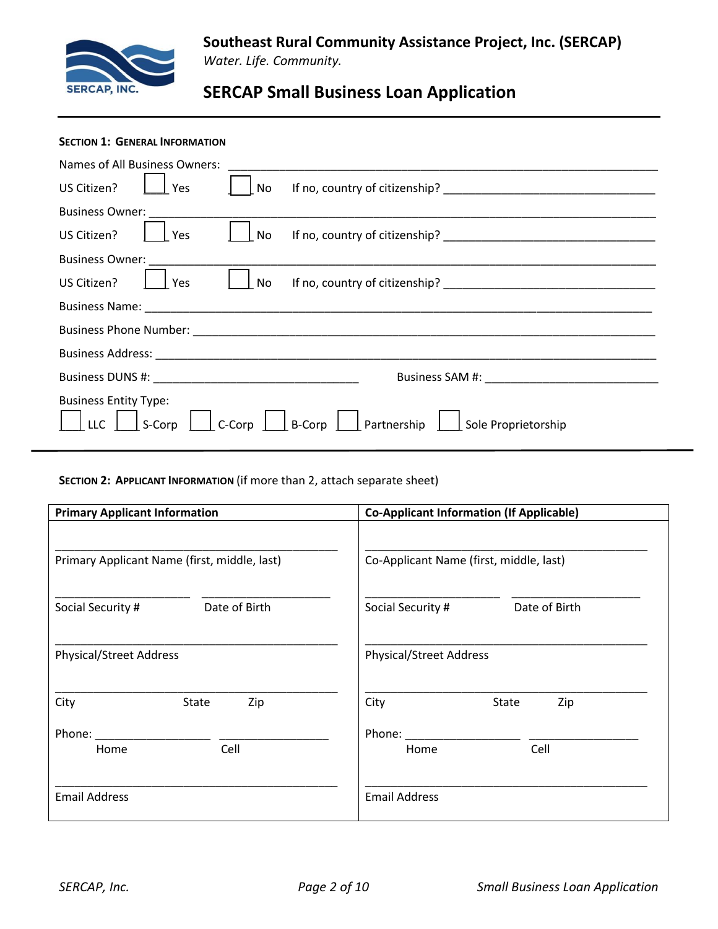

### **SECTION 1: GENERAL INFORMATION**

| Names of All Business Owners:                                                                         |  |  |  |  |
|-------------------------------------------------------------------------------------------------------|--|--|--|--|
| US Citizen?<br>Yes<br>No                                                                              |  |  |  |  |
| <b>Business Owner:</b>                                                                                |  |  |  |  |
| US Citizen?<br>No<br>Yes                                                                              |  |  |  |  |
| <b>Business Owner:</b>                                                                                |  |  |  |  |
| US Citizen?<br>No l<br>Yes                                                                            |  |  |  |  |
|                                                                                                       |  |  |  |  |
|                                                                                                       |  |  |  |  |
|                                                                                                       |  |  |  |  |
|                                                                                                       |  |  |  |  |
| <b>Business Entity Type:</b><br>B-Corp Partnership Sole Proprietorship<br>$\Box$ S-Corp $\Box$ C-Corp |  |  |  |  |

**SECTION 2: APPLICANT INFORMATION** (if more than 2, attach separate sheet)

| <b>Primary Applicant Information</b>         | <b>Co-Applicant Information (If Applicable)</b> |  |  |
|----------------------------------------------|-------------------------------------------------|--|--|
| Primary Applicant Name (first, middle, last) | Co-Applicant Name (first, middle, last)         |  |  |
| Date of Birth<br>Social Security #           | Date of Birth<br>Social Security #              |  |  |
| <b>Physical/Street Address</b>               | <b>Physical/Street Address</b>                  |  |  |
| City<br>Zip<br>State                         | City<br>State<br>Zip                            |  |  |
| Phone:<br>Cell<br>Home                       | Phone:<br>Cell<br>Home                          |  |  |
| <b>Email Address</b>                         | <b>Email Address</b>                            |  |  |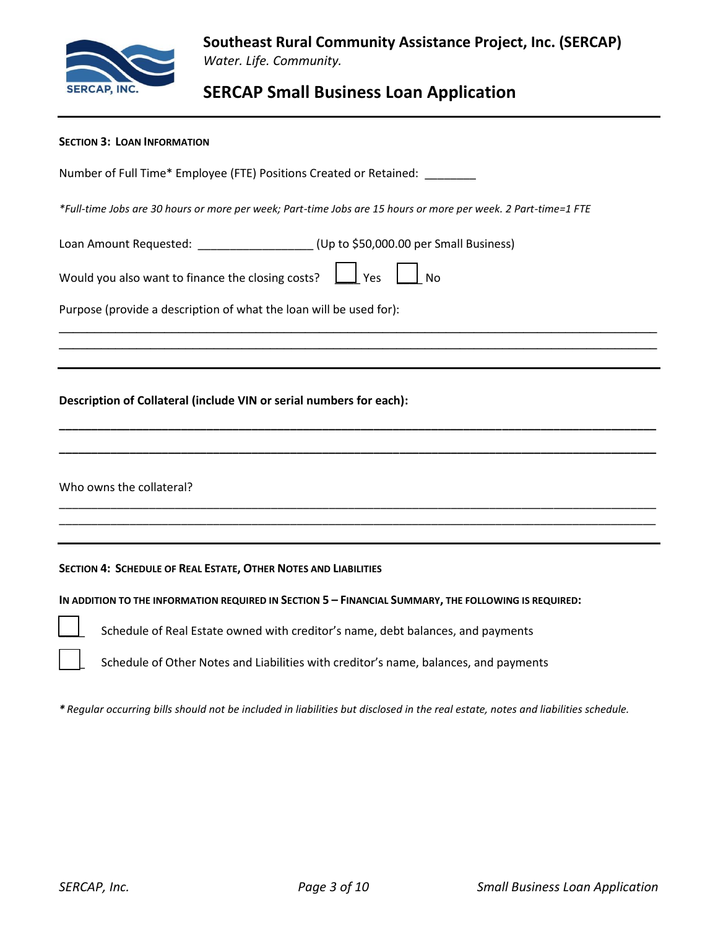

| <b>SECTION 3: LOAN INFORMATION</b>                                                                             |
|----------------------------------------------------------------------------------------------------------------|
| Number of Full Time* Employee (FTE) Positions Created or Retained: ________                                    |
| *Full-time Jobs are 30 hours or more per week; Part-time Jobs are 15 hours or more per week. 2 Part-time=1 FTE |
| Loan Amount Requested: ___________________(Up to \$50,000.00 per Small Business)                               |
| Would you also want to finance the closing costs? $\Box$ Yes<br><b>No</b>                                      |
| Purpose (provide a description of what the loan will be used for):                                             |
|                                                                                                                |
|                                                                                                                |
| Description of Collateral (include VIN or serial numbers for each):                                            |
|                                                                                                                |
| Who owns the collateral?                                                                                       |
|                                                                                                                |
| SECTION 4: SCHEDULE OF REAL ESTATE, OTHER NOTES AND LIABILITIES                                                |
| IN ADDITION TO THE INFORMATION REQUIRED IN SECTION 5 - FINANCIAL SUMMARY, THE FOLLOWING IS REQUIRED:           |
| Schedule of Real Estate owned with creditor's name, debt balances, and payments                                |
|                                                                                                                |

*\* Regular occurring bills should not be included in liabilities but disclosed in the real estate, notes and liabilities schedule.*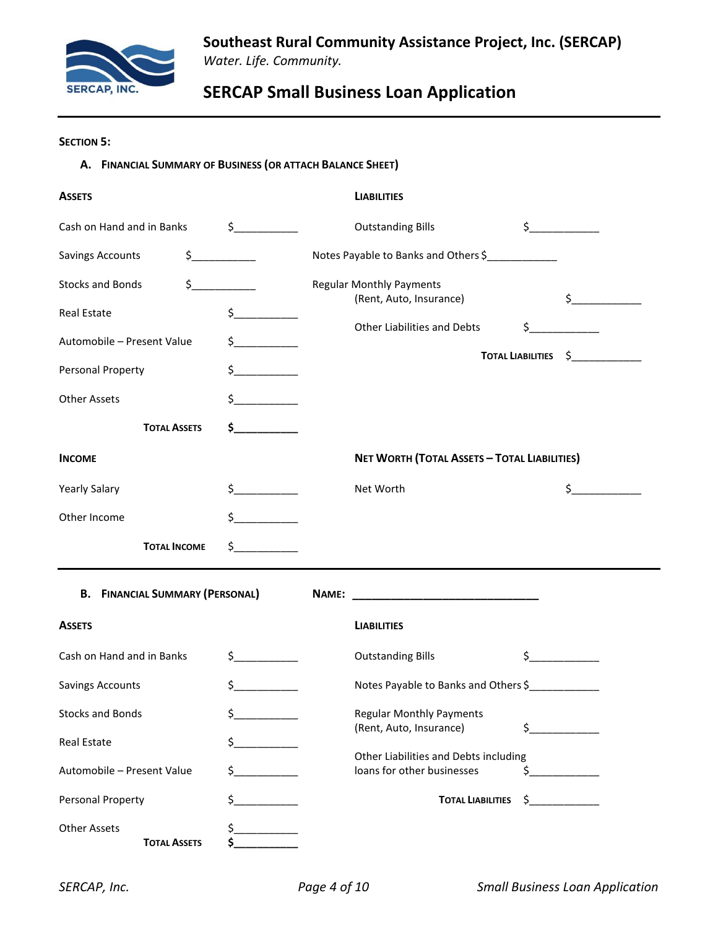

### **SECTION 5:**

### **A. FINANCIAL SUMMARY OF BUSINESS (OR ATTACH BALANCE SHEET)**

| <b>ASSETS</b>                            |                             |       | <b>LIABILITIES</b>                                                  |         |                       |
|------------------------------------------|-----------------------------|-------|---------------------------------------------------------------------|---------|-----------------------|
| Cash on Hand and in Banks                | $\frac{1}{2}$               |       | <b>Outstanding Bills</b>                                            |         | $\frac{1}{2}$         |
| $\frac{1}{2}$<br><b>Savings Accounts</b> |                             |       | Notes Payable to Banks and Others \$                                |         |                       |
| <b>Stocks and Bonds</b><br>\$.           |                             |       | <b>Regular Monthly Payments</b><br>(Rent, Auto, Insurance)          |         | $\sharp$ and $\sharp$ |
| <b>Real Estate</b>                       | $\sharp$ and $\sharp$       |       | Other Liabilities and Debts                                         |         | $\sim$                |
| Automobile - Present Value               | $\sharp$ and $\sharp$       |       |                                                                     |         | TOTAL LIABILITIES \$  |
| Personal Property                        | $\sharp$                    |       |                                                                     |         |                       |
| <b>Other Assets</b>                      | Ś.                          |       |                                                                     |         |                       |
| <b>TOTAL ASSETS</b>                      | $\sim$ $\sim$               |       |                                                                     |         |                       |
| <b>INCOME</b>                            |                             |       | NET WORTH (TOTAL ASSETS - TOTAL LIABILITIES)                        |         |                       |
| <b>Yearly Salary</b>                     | $\frac{1}{2}$               |       | Net Worth                                                           |         | \$                    |
| Other Income                             | \$.<br><u>and the state</u> |       |                                                                     |         |                       |
| <b>TOTAL INCOME</b>                      | $\sharp$ and $\sharp$       |       |                                                                     |         |                       |
| <b>B.</b> FINANCIAL SUMMARY (PERSONAL)   |                             | NAME: |                                                                     |         |                       |
| <b>ASSETS</b>                            |                             |       | <b>LIABILITIES</b>                                                  |         |                       |
| Cash on Hand and in Banks                | $\frac{1}{2}$               |       | <b>Outstanding Bills</b>                                            | $\zeta$ |                       |
| <b>Savings Accounts</b>                  | \$                          |       | Notes Payable to Banks and Others \$                                |         |                       |
| <b>Stocks and Bonds</b>                  | \$.                         |       | <b>Regular Monthly Payments</b><br>(Rent, Auto, Insurance)          | \$      |                       |
| Real Estate                              | \$                          |       |                                                                     |         |                       |
| Automobile - Present Value<br>\$         |                             |       | Other Liabilities and Debts including<br>loans for other businesses | \$.     |                       |
| Personal Property                        | $\frac{1}{2}$               |       | <b>TOTAL LIABILITIES</b>                                            | \$.     |                       |
|                                          |                             |       |                                                                     |         |                       |

Other Assets \$\_\_\_\_\_\_\_\_\_\_\_  $T$ **OTAL ASSETS**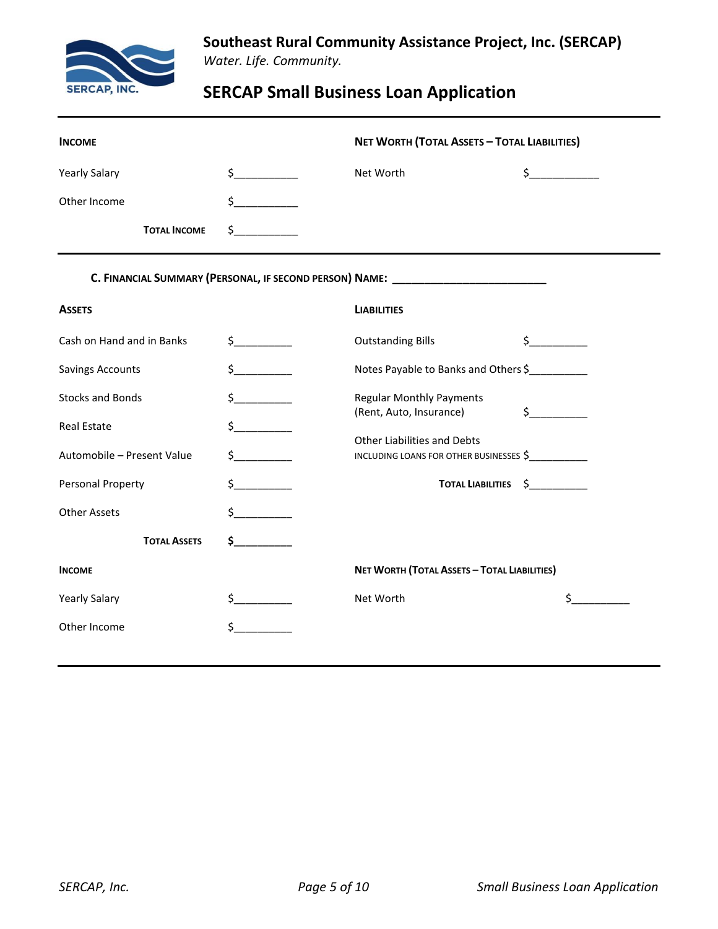

**Southeast Rural Community Assistance Project, Inc. (SERCAP)** *Water. Life. Community.*

# **SERCAP Small Business Loan Application**

| <b>INCOME</b>              |                       | <b>NET WORTH (TOTAL ASSETS - TOTAL LIABILITIES)</b>                              |                         |  |
|----------------------------|-----------------------|----------------------------------------------------------------------------------|-------------------------|--|
| <b>Yearly Salary</b>       | $\frac{1}{2}$         | Net Worth                                                                        | $\frac{1}{2}$           |  |
| Other Income               | \$                    |                                                                                  |                         |  |
| <b>TOTAL INCOME</b>        | \$                    |                                                                                  |                         |  |
|                            |                       | C. FINANCIAL SUMMARY (PERSONAL, IF SECOND PERSON) NAME: ________________________ |                         |  |
| <b>ASSETS</b>              |                       | <b>LIABILITIES</b>                                                               |                         |  |
| Cash on Hand and in Banks  | $\sharp$ and $\sharp$ | <b>Outstanding Bills</b>                                                         | $\sharp$ and $\sharp$   |  |
| <b>Savings Accounts</b>    | $\sharp$ and $\sharp$ | Notes Payable to Banks and Others \$                                             |                         |  |
| <b>Stocks and Bonds</b>    | $\sharp$ and $\sharp$ | <b>Regular Monthly Payments</b><br>(Rent, Auto, Insurance)                       | $\sharp$                |  |
| <b>Real Estate</b>         | $\frac{1}{2}$         | Other Liabilities and Debts                                                      |                         |  |
| Automobile - Present Value | $\sharp$              | INCLUDING LOANS FOR OTHER BUSINESSES \$                                          |                         |  |
| Personal Property          | $\frac{1}{2}$         | <b>TOTAL LIABILITIES</b>                                                         | $\ddot{\mathsf{s}}$ ___ |  |
| <b>Other Assets</b>        | $\sim$                |                                                                                  |                         |  |
| <b>TOTAL ASSETS</b>        | $\sim$ 5              |                                                                                  |                         |  |
| <b>INCOME</b>              |                       | NET WORTH (TOTAL ASSETS - TOTAL LIABILITIES)                                     |                         |  |
| <b>Yearly Salary</b>       | $\frac{1}{2}$         | Net Worth                                                                        | $\sharp$ and $\sharp$   |  |
| Other Income               | \$                    |                                                                                  |                         |  |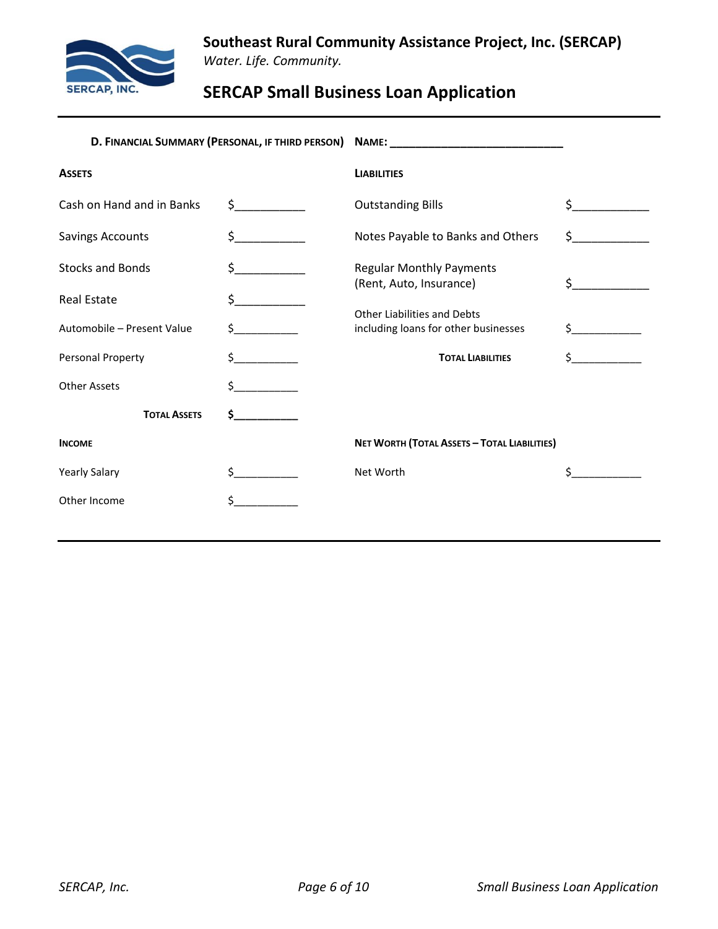

**Southeast Rural Community Assistance Project, Inc. (SERCAP)** *Water. Life. Community.*

# **SERCAP Small Business Loan Application**

| D. FINANCIAL SUMMARY (PERSONAL, IF THIRD PERSON) NAME: _________________________ |                       |                                                                     |    |
|----------------------------------------------------------------------------------|-----------------------|---------------------------------------------------------------------|----|
| <b>ASSETS</b>                                                                    |                       | <b>LIABILITIES</b>                                                  |    |
| Cash on Hand and in Banks                                                        | $\sharp$ and $\sharp$ | <b>Outstanding Bills</b>                                            | Ś  |
| <b>Savings Accounts</b>                                                          |                       | Notes Payable to Banks and Others                                   | \$ |
| <b>Stocks and Bonds</b>                                                          | S.                    | <b>Regular Monthly Payments</b><br>(Rent, Auto, Insurance)          | Ś. |
| <b>Real Estate</b>                                                               |                       |                                                                     |    |
| Automobile - Present Value                                                       |                       | Other Liabilities and Debts<br>including loans for other businesses | Ś. |
| Personal Property                                                                |                       | <b>TOTAL LIABILITIES</b>                                            |    |
| <b>Other Assets</b>                                                              |                       |                                                                     |    |
| <b>TOTAL ASSETS</b>                                                              | Ś.                    |                                                                     |    |
| <b>INCOME</b>                                                                    |                       | NET WORTH (TOTAL ASSETS - TOTAL LIABILITIES)                        |    |
| <b>Yearly Salary</b>                                                             |                       | Net Worth                                                           |    |
| Other Income                                                                     |                       |                                                                     |    |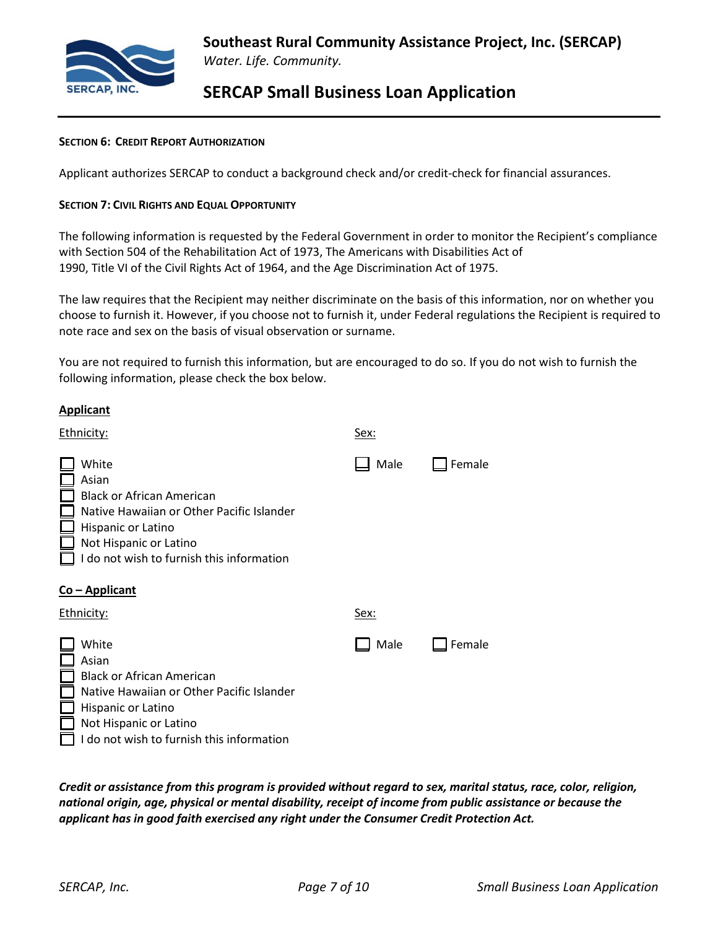

#### **SECTION 6: CREDIT REPORT AUTHORIZATION**

Applicant authorizes SERCAP to conduct a background check and/or credit-check for financial assurances.

#### **SECTION 7: CIVIL RIGHTS AND EQUAL OPPORTUNITY**

The following information is requested by the Federal Government in order to monitor the Recipient's compliance with Section 504 of the Rehabilitation Act of 1973, The Americans with Disabilities Act of 1990, Title VI of the Civil Rights Act of 1964, and the Age Discrimination Act of 1975.

The law requires that the Recipient may neither discriminate on the basis of this information, nor on whether you choose to furnish it. However, if you choose not to furnish it, under Federal regulations the Recipient is required to note race and sex on the basis of visual observation or surname.

You are not required to furnish this information, but are encouraged to do so. If you do not wish to furnish the following information, please check the box below.

| <b>Applicant</b>                                                                                                                                                                             |      |        |
|----------------------------------------------------------------------------------------------------------------------------------------------------------------------------------------------|------|--------|
| Ethnicity:                                                                                                                                                                                   | Sex: |        |
| White<br>Asian<br><b>Black or African American</b><br>Native Hawaiian or Other Pacific Islander<br>Hispanic or Latino<br>Not Hispanic or Latino<br>I do not wish to furnish this information | Male | Female |
| <u>Co - Applicant</u>                                                                                                                                                                        |      |        |
| Ethnicity:                                                                                                                                                                                   | Sex: |        |
| White<br>Asian<br><b>Black or African American</b><br>Native Hawaiian or Other Pacific Islander<br>Hispanic or Latino<br>Not Hispanic or Latino<br>I do not wish to furnish this information | Male | Female |

*Credit or assistance from this program is provided without regard to sex, marital status, race, color, religion, national origin, age, physical or mental disability, receipt of income from public assistance or because the applicant has in good faith exercised any right under the Consumer Credit Protection Act.*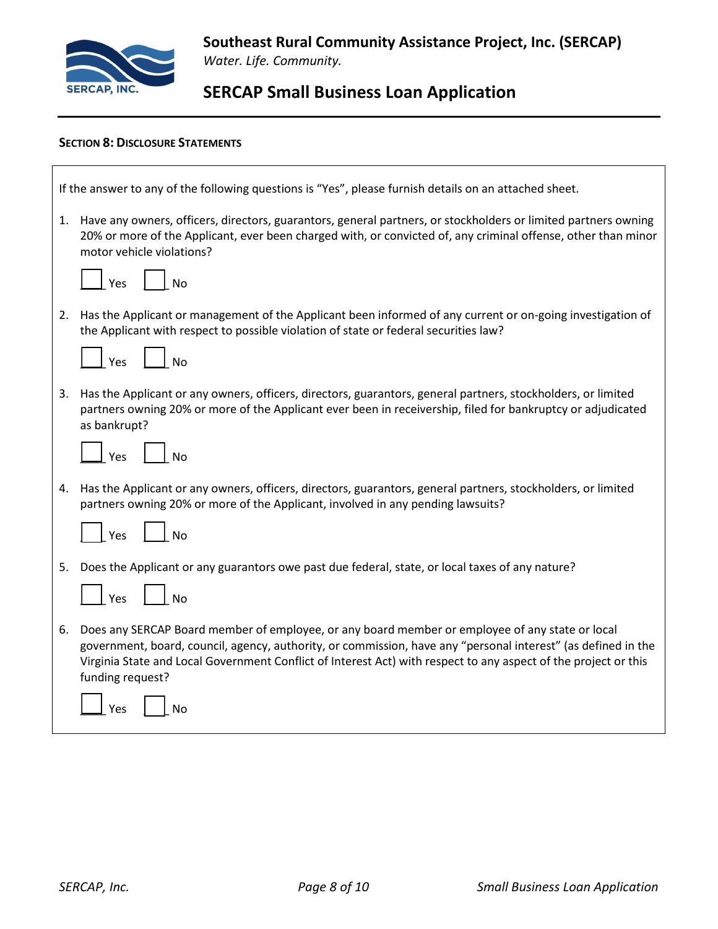

 $\Gamma$ 

# **SERCAP Small Business Loan Application**

### **SECTION 8: DISCLOSURE STATEMENTS**

| If the answer to any of the following questions is "Yes", please furnish details on an attached sheet.                                                                                                                                                                                                                                                     |  |  |  |
|------------------------------------------------------------------------------------------------------------------------------------------------------------------------------------------------------------------------------------------------------------------------------------------------------------------------------------------------------------|--|--|--|
| 1. Have any owners, officers, directors, guarantors, general partners, or stockholders or limited partners owning<br>20% or more of the Applicant, ever been charged with, or convicted of, any criminal offense, other than minor<br>motor vehicle violations?                                                                                            |  |  |  |
| $\vert$ $\vert$ No<br>Yes                                                                                                                                                                                                                                                                                                                                  |  |  |  |
| 2. Has the Applicant or management of the Applicant been informed of any current or on-going investigation of<br>the Applicant with respect to possible violation of state or federal securities law?                                                                                                                                                      |  |  |  |
| $\Box$ No<br>$\vert$ Yes                                                                                                                                                                                                                                                                                                                                   |  |  |  |
| 3. Has the Applicant or any owners, officers, directors, guarantors, general partners, stockholders, or limited<br>partners owning 20% or more of the Applicant ever been in receivership, filed for bankruptcy or adjudicated<br>as bankrupt?                                                                                                             |  |  |  |
| $\overline{\phantom{a}}$ No<br>Yes                                                                                                                                                                                                                                                                                                                         |  |  |  |
| 4. Has the Applicant or any owners, officers, directors, guarantors, general partners, stockholders, or limited<br>partners owning 20% or more of the Applicant, involved in any pending lawsuits?                                                                                                                                                         |  |  |  |
| No<br>Yes                                                                                                                                                                                                                                                                                                                                                  |  |  |  |
| 5. Does the Applicant or any guarantors owe past due federal, state, or local taxes of any nature?                                                                                                                                                                                                                                                         |  |  |  |
| $\vert$ $\vert$ No<br>$\vert$ Yes                                                                                                                                                                                                                                                                                                                          |  |  |  |
| 6. Does any SERCAP Board member of employee, or any board member or employee of any state or local<br>government, board, council, agency, authority, or commission, have any "personal interest" (as defined in the<br>Virginia State and Local Government Conflict of Interest Act) with respect to any aspect of the project or this<br>funding request? |  |  |  |
| No<br>Yes                                                                                                                                                                                                                                                                                                                                                  |  |  |  |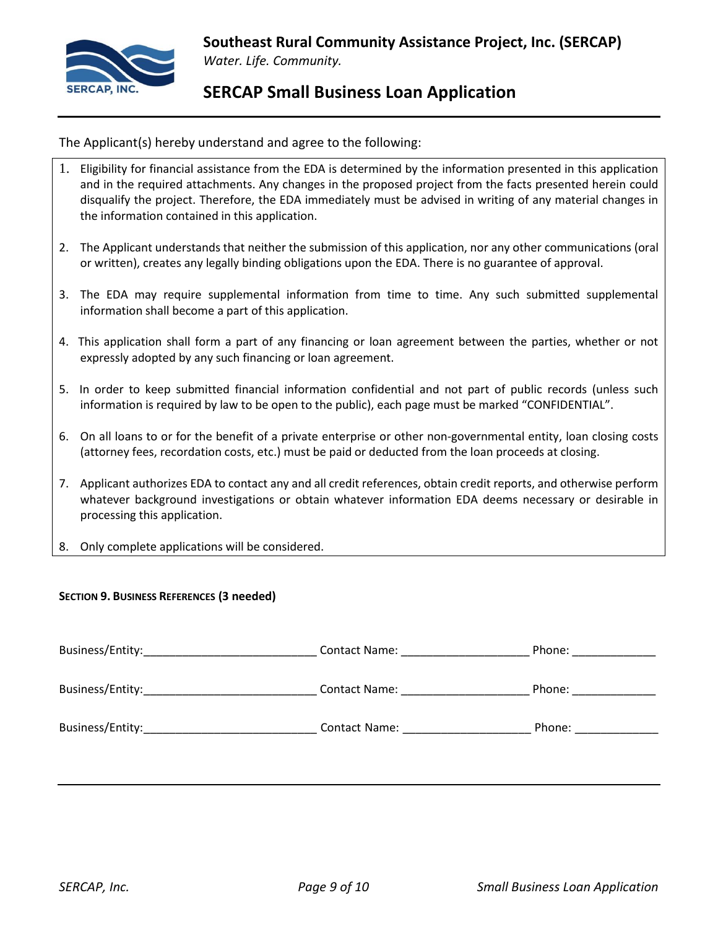

The Applicant(s) hereby understand and agree to the following:

- 1. Eligibility for financial assistance from the EDA is determined by the information presented in this application and in the required attachments. Any changes in the proposed project from the facts presented herein could disqualify the project. Therefore, the EDA immediately must be advised in writing of any material changes in the information contained in this application.
- 2. The Applicant understands that neither the submission of this application, nor any other communications (oral or written), creates any legally binding obligations upon the EDA. There is no guarantee of approval.
- 3. The EDA may require supplemental information from time to time. Any such submitted supplemental information shall become a part of this application.
- 4. This application shall form a part of any financing or loan agreement between the parties, whether or not expressly adopted by any such financing or loan agreement.
- 5. In order to keep submitted financial information confidential and not part of public records (unless such information is required by law to be open to the public), each page must be marked "CONFIDENTIAL".
- 6. On all loans to or for the benefit of a private enterprise or other non-governmental entity, loan closing costs (attorney fees, recordation costs, etc.) must be paid or deducted from the loan proceeds at closing.
- 7. Applicant authorizes EDA to contact any and all credit references, obtain credit reports, and otherwise perform whatever background investigations or obtain whatever information EDA deems necessary or desirable in processing this application.
- 8. Only complete applications will be considered.

### **SECTION 9. BUSINESS REFERENCES (3 needed)**

| Business/Entity: | <b>Contact Name:</b> | Phone: |
|------------------|----------------------|--------|
| Business/Entity: | Contact Name:        | Phone: |
| Business/Entity: | Contact Name:        | Phone: |